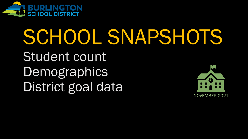

# SCHOOL SNAPSHOTS

Student count Demographics District goal data

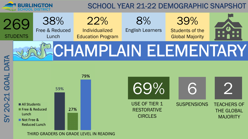

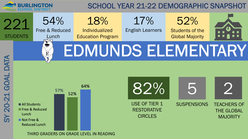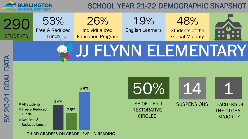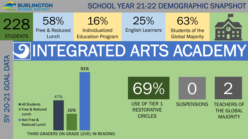

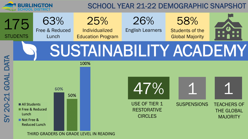

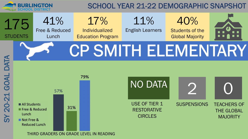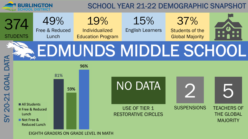



EIGHTH GRADERS ON GRADE LEVEL IN MATH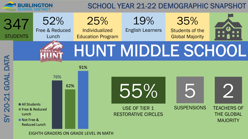

EIGHTH GRADERS ON GRADE LEVEL IN MATH